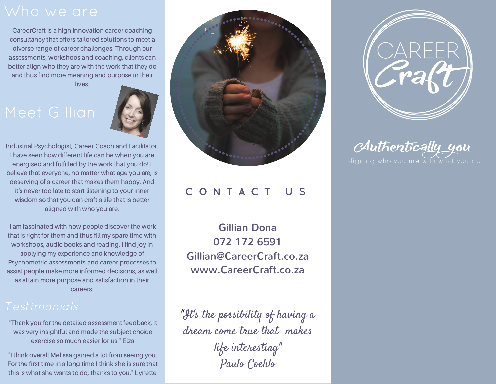CareerCraft is a high innovation career coaching consultancy that offers tailored solutions to meet a diverse range of career challenges. Through our assessments, workshops and coaching, clients can better align who they are with the work that they do and thus find more meaning and purpose in their lives.



Industrial Psychologist, Career Coach and Facilitator. I have seen how different life can be when you are energised and fulfilled by the work that you do! I believe that everyone, no matter what age you are, is deserving of a career that makes them happy. And it's never too late to start listening to your inner wisdom so that you can craft a life that is better aligned with who you are.

I am fascinated with how people discover the work that is right for them and thus fill my spare time with workshops, audio books and reading. I find joy in applying my experience and knowledge of Psychometric assessments and career processes to assist people make more informed decisions, as well as attain more purpose and satisfaction in their careers.

"Thank you for the detailed assessment feedback, it was very insightful and made the subject choice exercise so much easier for us." Elza

"I think overall Melissa gained a lot from seeing you. For the first time in a long time I think she is sure that this is what she wants to do, thanks to you." Lynette



# C O N T A C T U S

Gillian Dona 072 172 6591 Gillian@CareerCraft.co.za www.CareerCraft.co.za

"It's the possibility of having a dream come true that makes life interesting " Paulo Coehlo



Authentically you aligning who you are with what you do